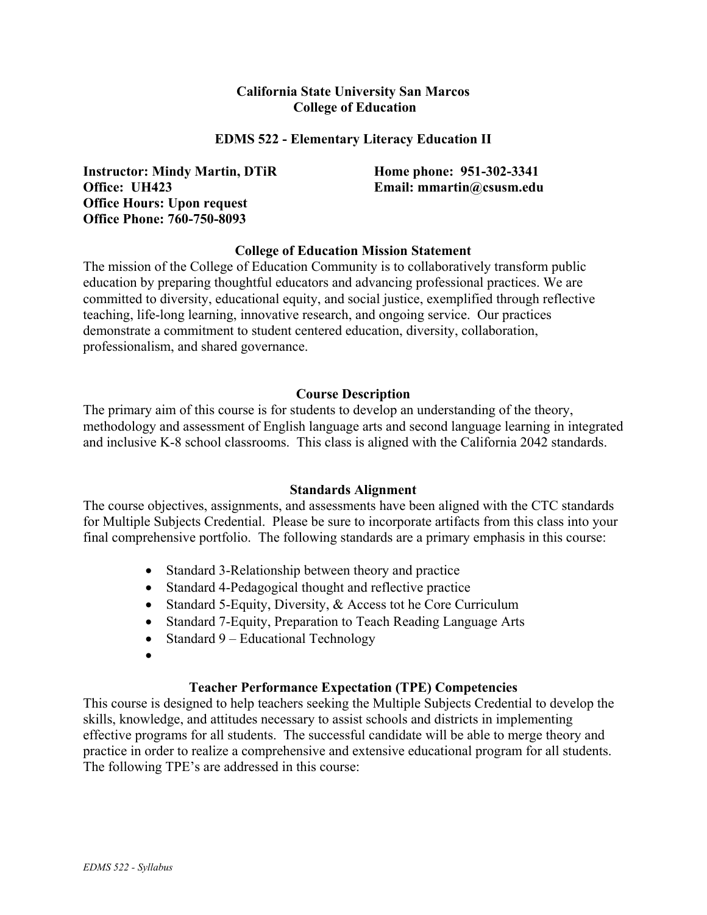#### **California State University San Marcos College of Education**

#### **EDMS 522 - Elementary Literacy Education II**

**Instructor: Mindy Martin, DTiR Office: UH423 Office Hours: Upon request Office Phone: 760-750-8093** 

**Home phone: 951-302-3341 Email: mmartin@csusm.edu** 

#### **College of Education Mission Statement**

The mission of the College of Education Community is to collaboratively transform public education by preparing thoughtful educators and advancing professional practices. We are committed to diversity, educational equity, and social justice, exemplified through reflective teaching, life-long learning, innovative research, and ongoing service. Our practices demonstrate a commitment to student centered education, diversity, collaboration, professionalism, and shared governance.

#### **Course Description**

The primary aim of this course is for students to develop an understanding of the theory, methodology and assessment of English language arts and second language learning in integrated and inclusive K-8 school classrooms. This class is aligned with the California 2042 standards.

#### **Standards Alignment**

The course objectives, assignments, and assessments have been aligned with the CTC standards for Multiple Subjects Credential. Please be sure to incorporate artifacts from this class into your final comprehensive portfolio. The following standards are a primary emphasis in this course:

- Standard 3-Relationship between theory and practice
- Standard 4-Pedagogical thought and reflective practice
- Standard 5-Equity, Diversity, & Access tot he Core Curriculum
- Standard 7-Equity, Preparation to Teach Reading Language Arts
- Standard 9 Educational Technology
- •

#### **Teacher Performance Expectation (TPE) Competencies**

This course is designed to help teachers seeking the Multiple Subjects Credential to develop the skills, knowledge, and attitudes necessary to assist schools and districts in implementing effective programs for all students. The successful candidate will be able to merge theory and practice in order to realize a comprehensive and extensive educational program for all students. The following TPE's are addressed in this course: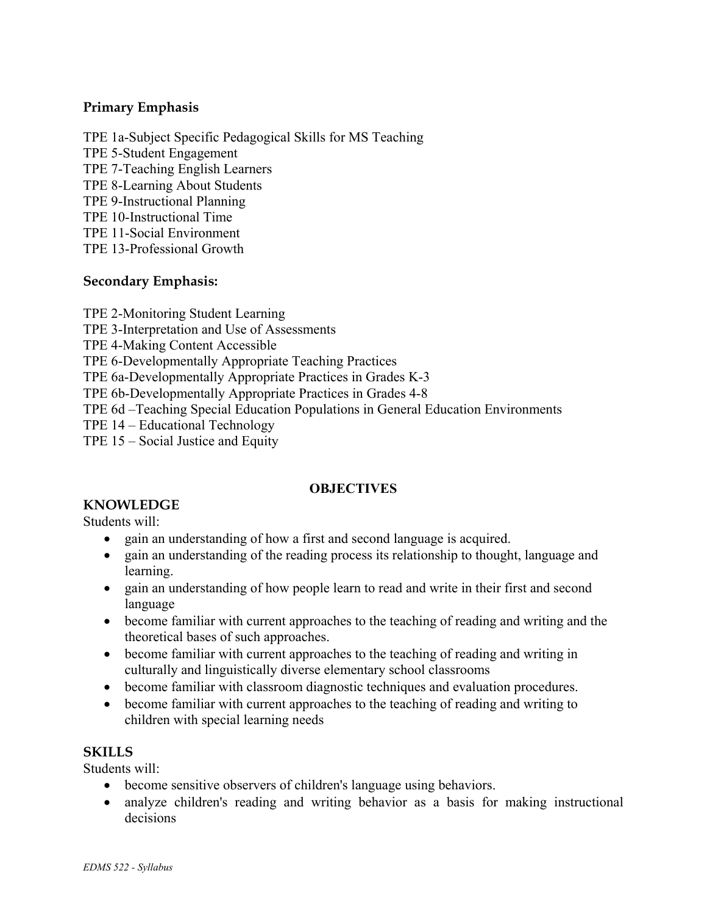#### **Primary Emphasis**

TPE 1a-Subject Specific Pedagogical Skills for MS Teaching TPE 5-Student Engagement TPE 7-Teaching English Learners TPE 8-Learning About Students TPE 9-Instructional Planning TPE 10-Instructional Time TPE 11-Social Environment TPE 13-Professional Growth

#### **Secondary Emphasis:**

TPE 2-Monitoring Student Learning

TPE 3-Interpretation and Use of Assessments

TPE 4-Making Content Accessible

TPE 6-Developmentally Appropriate Teaching Practices

TPE 6a-Developmentally Appropriate Practices in Grades K-3

TPE 6b-Developmentally Appropriate Practices in Grades 4-8

TPE 6d –Teaching Special Education Populations in General Education Environments

TPE 14 – Educational Technology

TPE 15 – Social Justice and Equity

#### **OBJECTIVES**

# **KNOWLEDGE**

Students will:

- gain an understanding of how a first and second language is acquired.
- gain an understanding of the reading process its relationship to thought, language and learning.
- gain an understanding of how people learn to read and write in their first and second language
- become familiar with current approaches to the teaching of reading and writing and the theoretical bases of such approaches.
- become familiar with current approaches to the teaching of reading and writing in culturally and linguistically diverse elementary school classrooms
- become familiar with classroom diagnostic techniques and evaluation procedures.
- become familiar with current approaches to the teaching of reading and writing to children with special learning needs

#### **SKILLS**

Students will:

- become sensitive observers of children's language using behaviors.
- analyze children's reading and writing behavior as a basis for making instructional decisions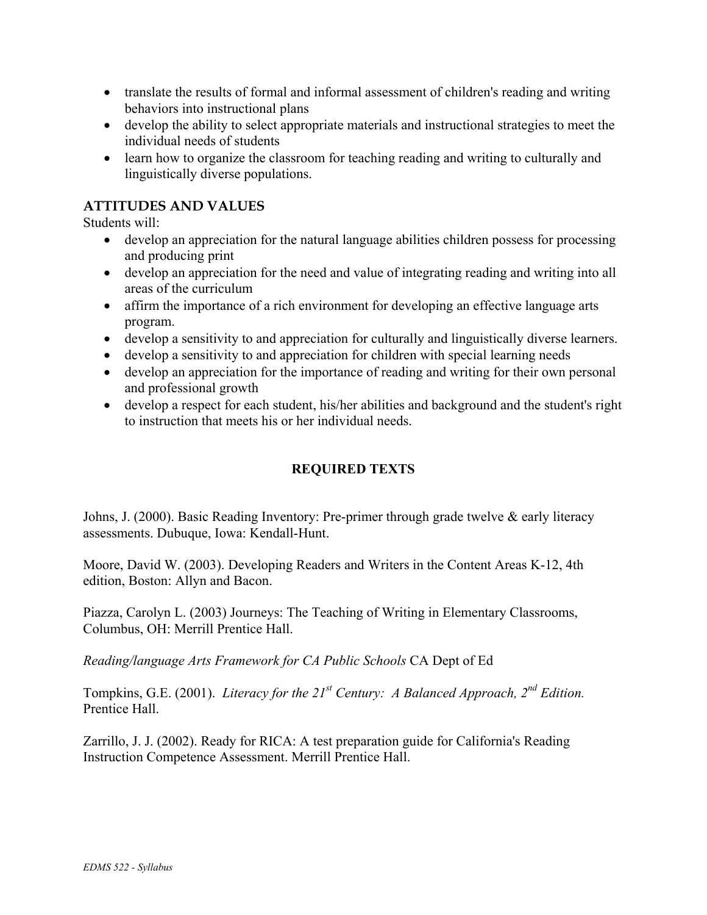- translate the results of formal and informal assessment of children's reading and writing behaviors into instructional plans
- develop the ability to select appropriate materials and instructional strategies to meet the individual needs of students
- learn how to organize the classroom for teaching reading and writing to culturally and linguistically diverse populations.

#### **ATTITUDES AND VALUES**

Students will:

- develop an appreciation for the natural language abilities children possess for processing and producing print
- develop an appreciation for the need and value of integrating reading and writing into all areas of the curriculum
- affirm the importance of a rich environment for developing an effective language arts program.
- develop a sensitivity to and appreciation for culturally and linguistically diverse learners.
- develop a sensitivity to and appreciation for children with special learning needs
- develop an appreciation for the importance of reading and writing for their own personal and professional growth
- develop a respect for each student, his/her abilities and background and the student's right to instruction that meets his or her individual needs.

#### **REQUIRED TEXTS**

Johns, J. (2000). Basic Reading Inventory: Pre-primer through grade twelve & early literacy assessments. Dubuque, Iowa: Kendall-Hunt.

Moore, David W. (2003). Developing Readers and Writers in the Content Areas K-12, 4th edition, Boston: Allyn and Bacon.

Piazza, Carolyn L. (2003) Journeys: The Teaching of Writing in Elementary Classrooms, Columbus, OH: Merrill Prentice Hall.

*Reading/language Arts Framework for CA Public Schools* CA Dept of Ed

Tompkins, G.E. (2001). *Literacy for the 21<sup>st</sup> Century: A Balanced Approach, 2<sup>nd</sup> Edition.* Prentice Hall.

Zarrillo, J. J. (2002). Ready for RICA: A test preparation guide for California's Reading Instruction Competence Assessment. Merrill Prentice Hall.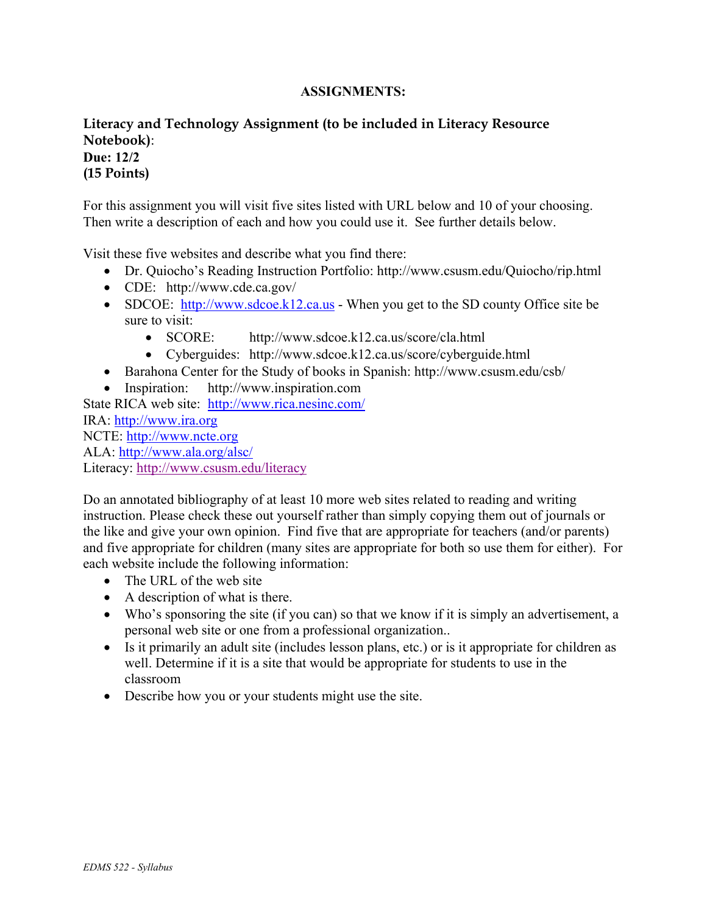#### **ASSIGNMENTS:**

#### **Literacy and Technology Assignment (to be included in Literacy Resource Notebook)**: **Due: 12/2**

# **(15 Points)**

For this assignment you will visit five sites listed with URL below and 10 of your choosing. Then write a description of each and how you could use it. See further details below.

Visit these five websites and describe what you find there:

- Dr. Quiocho's Reading Instruction Portfolio: http://www.csusm.edu/Quiocho/rip.html
- CDE: http://www.cde.ca.gov/
- SDCOE: http://www.sdcoe.k12.ca.us When you get to the SD county Office site be sure to visit:
	- SCORE: http://www.sdcoe.k12.ca.us/score/cla.html
	- Cyberguides: http://www.sdcoe.k12.ca.us/score/cyberguide.html
- Barahona Center for the Study of books in Spanish: http://www.csusm.edu/csb/
- Inspiration: http://www.inspiration.com

State RICA web site: http://www.rica.nesinc.com/ IRA: http://www.ira.org NCTE: http://www.ncte.org ALA: http://www.ala.org/alsc/ Literacy: http://www.csusm.edu/literacy

Do an annotated bibliography of at least 10 more web sites related to reading and writing instruction. Please check these out yourself rather than simply copying them out of journals or the like and give your own opinion. Find five that are appropriate for teachers (and/or parents) and five appropriate for children (many sites are appropriate for both so use them for either). For each website include the following information:

- The URL of the web site
- A description of what is there.
- Who's sponsoring the site (if you can) so that we know if it is simply an advertisement, a personal web site or one from a professional organization..
- Is it primarily an adult site (includes lesson plans, etc.) or is it appropriate for children as well. Determine if it is a site that would be appropriate for students to use in the classroom
- Describe how you or your students might use the site.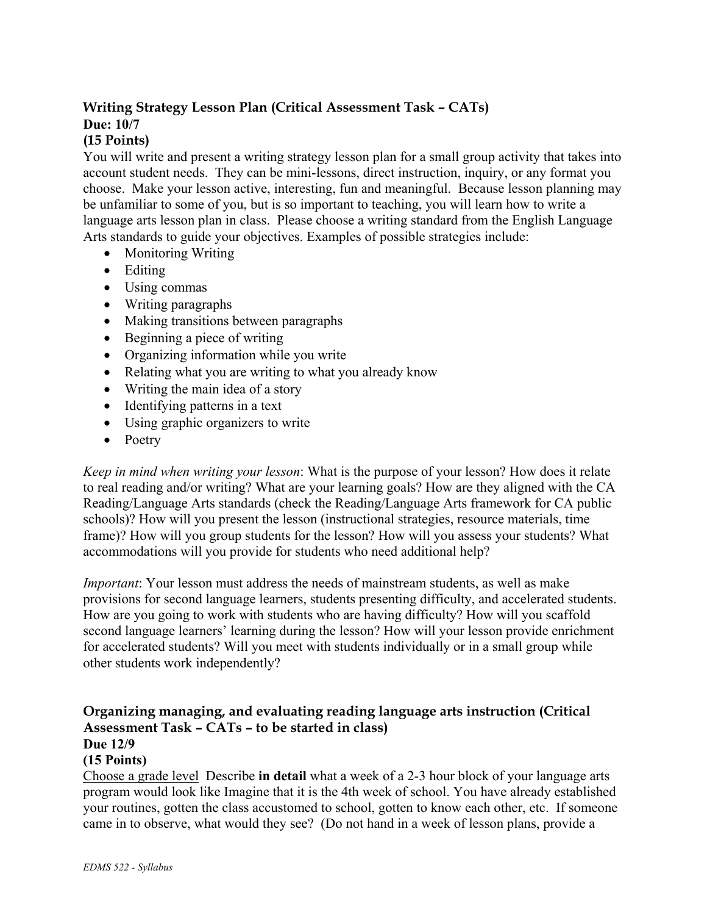## **Writing Strategy Lesson Plan (Critical Assessment Task – CATs) Due: 10/7**

### **(15 Points)**

You will write and present a writing strategy lesson plan for a small group activity that takes into account student needs. They can be mini-lessons, direct instruction, inquiry, or any format you choose. Make your lesson active, interesting, fun and meaningful. Because lesson planning may be unfamiliar to some of you, but is so important to teaching, you will learn how to write a language arts lesson plan in class. Please choose a writing standard from the English Language Arts standards to guide your objectives. Examples of possible strategies include:

- Monitoring Writing
- Editing
- Using commas
- Writing paragraphs
- Making transitions between paragraphs
- Beginning a piece of writing
- Organizing information while you write
- Relating what you are writing to what you already know
- Writing the main idea of a story
- Identifying patterns in a text
- Using graphic organizers to write
- Poetry

*Keep in mind when writing your lesson*: What is the purpose of your lesson? How does it relate to real reading and/or writing? What are your learning goals? How are they aligned with the CA Reading/Language Arts standards (check the Reading/Language Arts framework for CA public schools)? How will you present the lesson (instructional strategies, resource materials, time frame)? How will you group students for the lesson? How will you assess your students? What accommodations will you provide for students who need additional help?

*Important*: Your lesson must address the needs of mainstream students, as well as make provisions for second language learners, students presenting difficulty, and accelerated students. How are you going to work with students who are having difficulty? How will you scaffold second language learners' learning during the lesson? How will your lesson provide enrichment for accelerated students? Will you meet with students individually or in a small group while other students work independently?

#### **Organizing managing, and evaluating reading language arts instruction (Critical Assessment Task – CATs – to be started in class) Due 12/9**

### **(15 Points)**

Choose a grade level Describe **in detail** what a week of a 2-3 hour block of your language arts program would look like Imagine that it is the 4th week of school. You have already established your routines, gotten the class accustomed to school, gotten to know each other, etc. If someone came in to observe, what would they see? (Do not hand in a week of lesson plans, provide a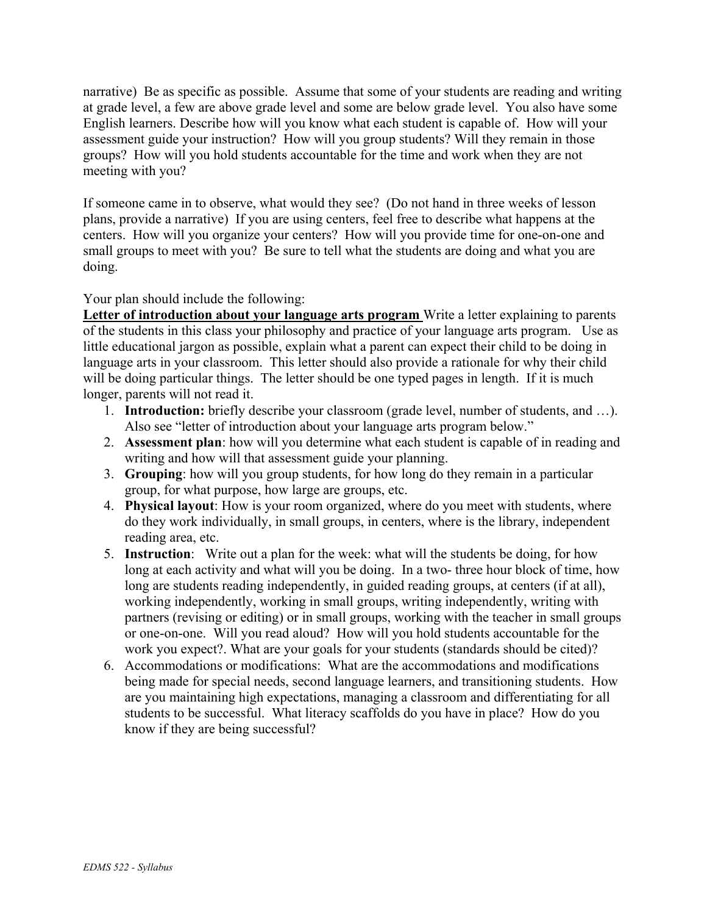narrative) Be as specific as possible. Assume that some of your students are reading and writing at grade level, a few are above grade level and some are below grade level. You also have some English learners. Describe how will you know what each student is capable of. How will your assessment guide your instruction? How will you group students? Will they remain in those groups? How will you hold students accountable for the time and work when they are not meeting with you?

If someone came in to observe, what would they see? (Do not hand in three weeks of lesson plans, provide a narrative) If you are using centers, feel free to describe what happens at the centers. How will you organize your centers? How will you provide time for one-on-one and small groups to meet with you? Be sure to tell what the students are doing and what you are doing.

#### Your plan should include the following:

**Letter of introduction about your language arts program** Write a letter explaining to parents of the students in this class your philosophy and practice of your language arts program. Use as little educational jargon as possible, explain what a parent can expect their child to be doing in language arts in your classroom. This letter should also provide a rationale for why their child will be doing particular things. The letter should be one typed pages in length. If it is much longer, parents will not read it.

- 1. **Introduction:** briefly describe your classroom (grade level, number of students, and …). Also see "letter of introduction about your language arts program below."
- 2. **Assessment plan**: how will you determine what each student is capable of in reading and writing and how will that assessment guide your planning.
- 3. **Grouping**: how will you group students, for how long do they remain in a particular group, for what purpose, how large are groups, etc.
- 4. **Physical layout**: How is your room organized, where do you meet with students, where do they work individually, in small groups, in centers, where is the library, independent reading area, etc.
- 5. **Instruction**: Write out a plan for the week: what will the students be doing, for how long at each activity and what will you be doing. In a two- three hour block of time, how long are students reading independently, in guided reading groups, at centers (if at all), working independently, working in small groups, writing independently, writing with partners (revising or editing) or in small groups, working with the teacher in small groups or one-on-one. Will you read aloud? How will you hold students accountable for the work you expect?. What are your goals for your students (standards should be cited)?
- 6. Accommodations or modifications: What are the accommodations and modifications being made for special needs, second language learners, and transitioning students. How are you maintaining high expectations, managing a classroom and differentiating for all students to be successful. What literacy scaffolds do you have in place? How do you know if they are being successful?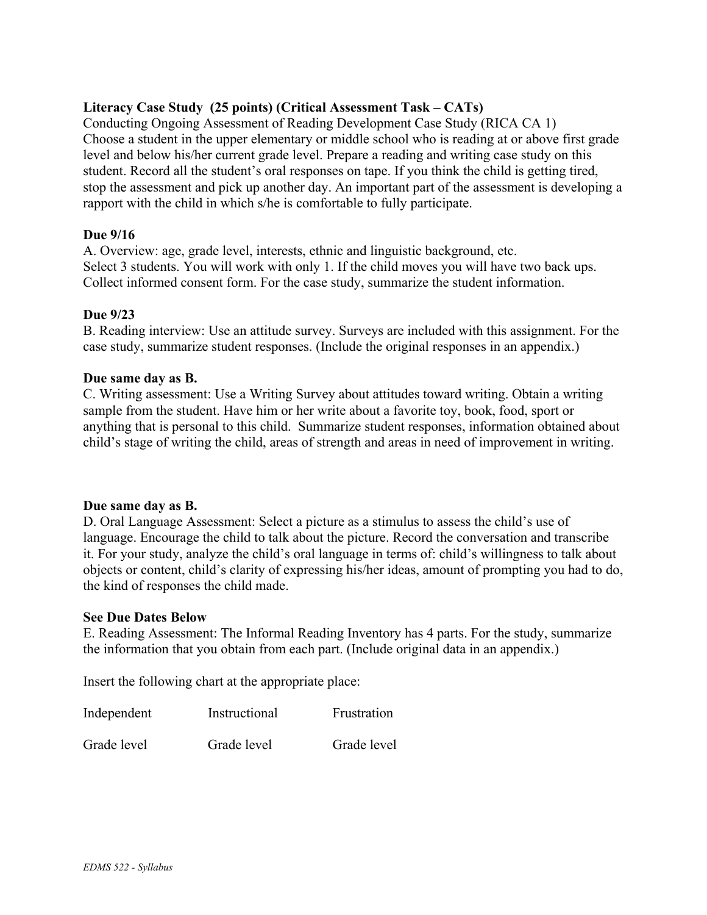#### **Literacy Case Study (25 points) (Critical Assessment Task – CATs)**

Conducting Ongoing Assessment of Reading Development Case Study (RICA CA 1) Choose a student in the upper elementary or middle school who is reading at or above first grade level and below his/her current grade level. Prepare a reading and writing case study on this student. Record all the student's oral responses on tape. If you think the child is getting tired, stop the assessment and pick up another day. An important part of the assessment is developing a rapport with the child in which s/he is comfortable to fully participate.

#### **Due 9/16**

A. Overview: age, grade level, interests, ethnic and linguistic background, etc. Select 3 students. You will work with only 1. If the child moves you will have two back ups. Collect informed consent form. For the case study, summarize the student information.

#### **Due 9/23**

B. Reading interview: Use an attitude survey. Surveys are included with this assignment. For the case study, summarize student responses. (Include the original responses in an appendix.)

#### **Due same day as B.**

C. Writing assessment: Use a Writing Survey about attitudes toward writing. Obtain a writing sample from the student. Have him or her write about a favorite toy, book, food, sport or anything that is personal to this child. Summarize student responses, information obtained about child's stage of writing the child, areas of strength and areas in need of improvement in writing.

#### **Due same day as B.**

D. Oral Language Assessment: Select a picture as a stimulus to assess the child's use of language. Encourage the child to talk about the picture. Record the conversation and transcribe it. For your study, analyze the child's oral language in terms of: child's willingness to talk about objects or content, child's clarity of expressing his/her ideas, amount of prompting you had to do, the kind of responses the child made.

#### **See Due Dates Below**

E. Reading Assessment: The Informal Reading Inventory has 4 parts. For the study, summarize the information that you obtain from each part. (Include original data in an appendix.)

Insert the following chart at the appropriate place:

| Independent | Instructional | Frustration |
|-------------|---------------|-------------|
| Grade level | Grade level   | Grade level |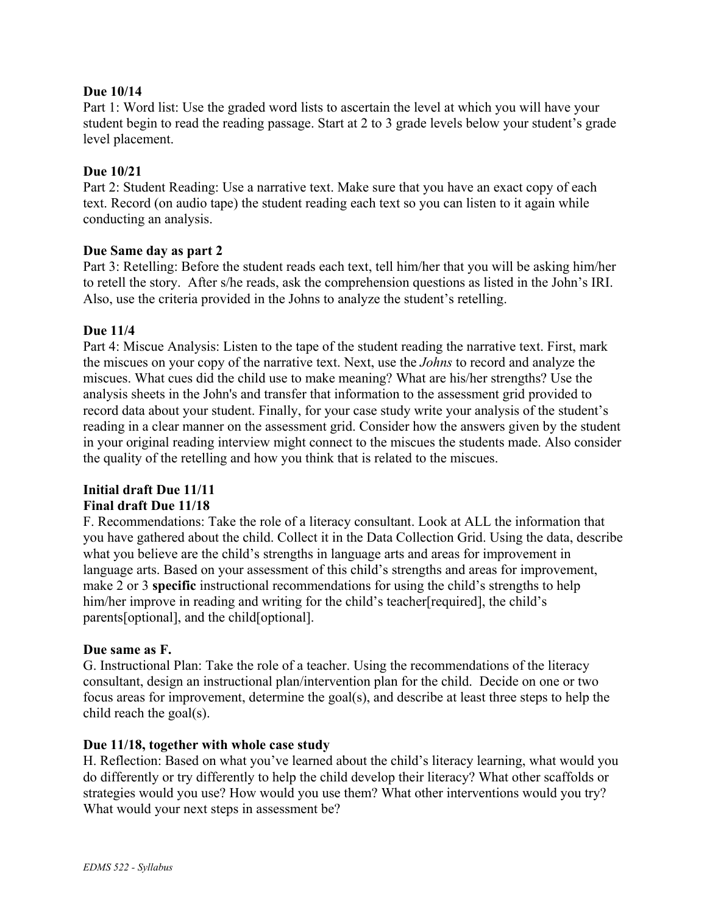#### **Due 10/14**

Part 1: Word list: Use the graded word lists to ascertain the level at which you will have your student begin to read the reading passage. Start at 2 to 3 grade levels below your student's grade level placement.

#### **Due 10/21**

Part 2: Student Reading: Use a narrative text. Make sure that you have an exact copy of each text. Record (on audio tape) the student reading each text so you can listen to it again while conducting an analysis.

#### **Due Same day as part 2**

Part 3: Retelling: Before the student reads each text, tell him/her that you will be asking him/her to retell the story. After s/he reads, ask the comprehension questions as listed in the John's IRI. Also, use the criteria provided in the Johns to analyze the student's retelling.

#### **Due 11/4**

Part 4: Miscue Analysis: Listen to the tape of the student reading the narrative text. First, mark the miscues on your copy of the narrative text. Next, use the *Johns* to record and analyze the miscues. What cues did the child use to make meaning? What are his/her strengths? Use the analysis sheets in the John's and transfer that information to the assessment grid provided to record data about your student. Finally, for your case study write your analysis of the student's reading in a clear manner on the assessment grid. Consider how the answers given by the student in your original reading interview might connect to the miscues the students made. Also consider the quality of the retelling and how you think that is related to the miscues.

#### **Initial draft Due 11/11**

#### **Final draft Due 11/18**

F. Recommendations: Take the role of a literacy consultant. Look at ALL the information that you have gathered about the child. Collect it in the Data Collection Grid. Using the data, describe what you believe are the child's strengths in language arts and areas for improvement in language arts. Based on your assessment of this child's strengths and areas for improvement, make 2 or 3 **specific** instructional recommendations for using the child's strengths to help him/her improve in reading and writing for the child's teacher[required], the child's parents[optional], and the child[optional].

#### **Due same as F.**

G. Instructional Plan: Take the role of a teacher. Using the recommendations of the literacy consultant, design an instructional plan/intervention plan for the child. Decide on one or two focus areas for improvement, determine the goal(s), and describe at least three steps to help the child reach the goal(s).

#### **Due 11/18, together with whole case study**

H. Reflection: Based on what you've learned about the child's literacy learning, what would you do differently or try differently to help the child develop their literacy? What other scaffolds or strategies would you use? How would you use them? What other interventions would you try? What would your next steps in assessment be?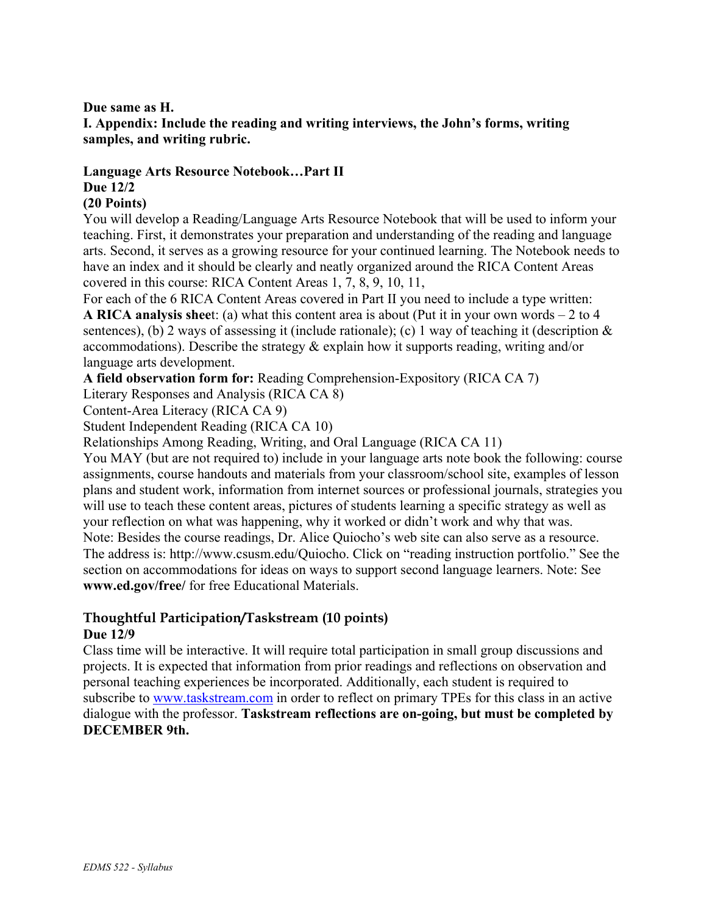#### **Due same as H.**

**I. Appendix: Include the reading and writing interviews, the John's forms, writing samples, and writing rubric.**

### **Language Arts Resource Notebook…Part II Due 12/2**

#### **(20 Points)**

You will develop a Reading/Language Arts Resource Notebook that will be used to inform your teaching. First, it demonstrates your preparation and understanding of the reading and language arts. Second, it serves as a growing resource for your continued learning. The Notebook needs to have an index and it should be clearly and neatly organized around the RICA Content Areas covered in this course: RICA Content Areas 1, 7, 8, 9, 10, 11,

For each of the 6 RICA Content Areas covered in Part II you need to include a type written: **A RICA analysis shee**t: (a) what this content area is about (Put it in your own words – 2 to 4 sentences), (b) 2 ways of assessing it (include rationale); (c) 1 way of teaching it (description  $\&$ accommodations). Describe the strategy & explain how it supports reading, writing and/or language arts development.

**A field observation form for:** Reading Comprehension-Expository (RICA CA 7)

Literary Responses and Analysis (RICA CA 8)

Content-Area Literacy (RICA CA 9)

Student Independent Reading (RICA CA 10)

Relationships Among Reading, Writing, and Oral Language (RICA CA 11)

You MAY (but are not required to) include in your language arts note book the following: course assignments, course handouts and materials from your classroom/school site, examples of lesson plans and student work, information from internet sources or professional journals, strategies you will use to teach these content areas, pictures of students learning a specific strategy as well as your reflection on what was happening, why it worked or didn't work and why that was. Note: Besides the course readings, Dr. Alice Quiocho's web site can also serve as a resource. The address is: http://www.csusm.edu/Quiocho. Click on "reading instruction portfolio." See the section on accommodations for ideas on ways to support second language learners. Note: See **www.ed.gov/free/** for free Educational Materials.

#### **Thoughtful Participation/Taskstream (10 points) Due 12/9**

Class time will be interactive. It will require total participation in small group discussions and projects. It is expected that information from prior readings and reflections on observation and personal teaching experiences be incorporated. Additionally, each student is required to subscribe to www.taskstream.com in order to reflect on primary TPEs for this class in an active dialogue with the professor. **Taskstream reflections are on-going, but must be completed by DECEMBER 9th.**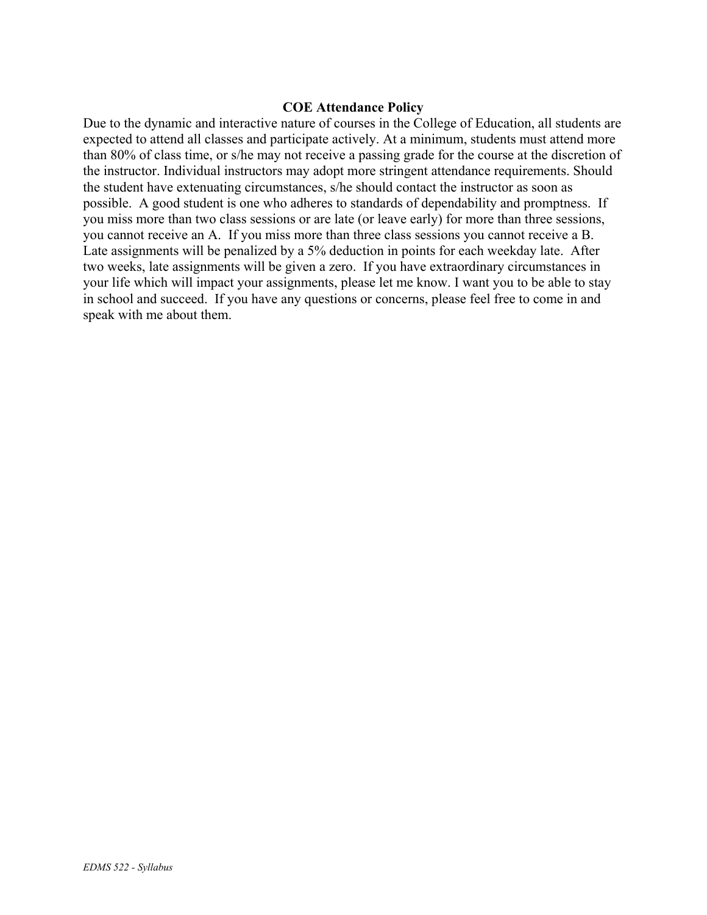#### **COE Attendance Policy**

Due to the dynamic and interactive nature of courses in the College of Education, all students are expected to attend all classes and participate actively. At a minimum, students must attend more than 80% of class time, or s/he may not receive a passing grade for the course at the discretion of the instructor. Individual instructors may adopt more stringent attendance requirements. Should the student have extenuating circumstances, s/he should contact the instructor as soon as possible. A good student is one who adheres to standards of dependability and promptness. If you miss more than two class sessions or are late (or leave early) for more than three sessions, you cannot receive an A. If you miss more than three class sessions you cannot receive a B. Late assignments will be penalized by a 5% deduction in points for each weekday late. After two weeks, late assignments will be given a zero. If you have extraordinary circumstances in your life which will impact your assignments, please let me know. I want you to be able to stay in school and succeed. If you have any questions or concerns, please feel free to come in and speak with me about them.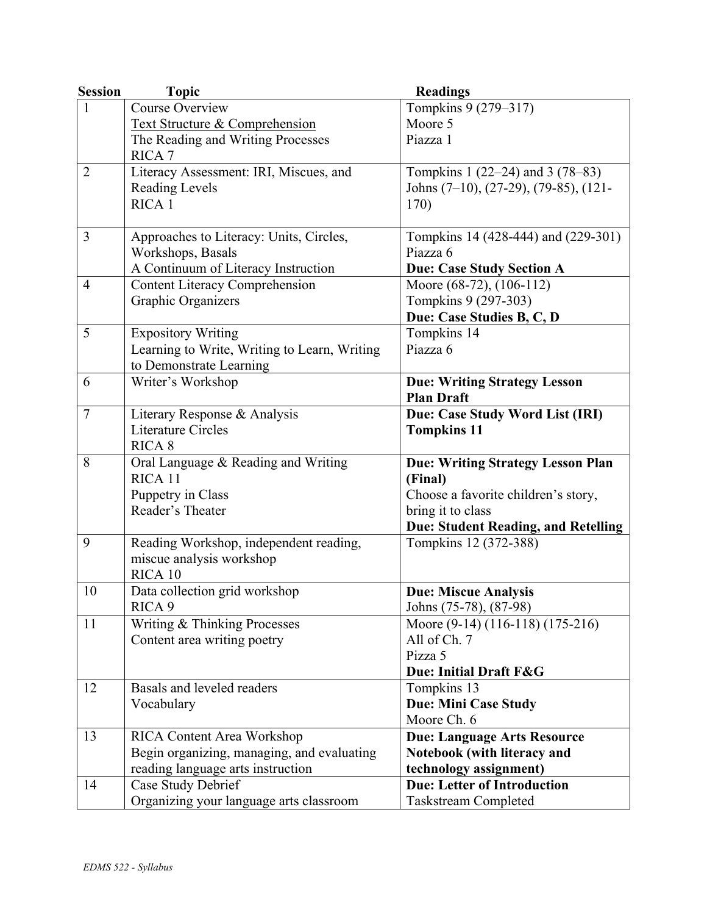| <b>Session</b> | <b>Topic</b>                                 | <b>Readings</b>                            |
|----------------|----------------------------------------------|--------------------------------------------|
| 1              | <b>Course Overview</b>                       | Tompkins 9 (279–317)                       |
|                | <b>Text Structure &amp; Comprehension</b>    | Moore 5                                    |
|                | The Reading and Writing Processes            | Piazza 1                                   |
|                | RICA <sub>7</sub>                            |                                            |
| $\overline{2}$ | Literacy Assessment: IRI, Miscues, and       | Tompkins 1 (22–24) and 3 (78–83)           |
|                | Reading Levels                               | Johns (7–10), (27-29), (79-85), (121-      |
|                | RICA <sub>1</sub>                            | 170)                                       |
|                |                                              |                                            |
| 3              | Approaches to Literacy: Units, Circles,      | Tompkins 14 (428-444) and (229-301)        |
|                | Workshops, Basals                            | Piazza 6                                   |
|                | A Continuum of Literacy Instruction          | <b>Due: Case Study Section A</b>           |
| $\overline{4}$ | <b>Content Literacy Comprehension</b>        | Moore (68-72), (106-112)                   |
|                | Graphic Organizers                           | Tompkins 9 (297-303)                       |
|                |                                              | Due: Case Studies B, C, D                  |
| 5              | <b>Expository Writing</b>                    | Tompkins 14                                |
|                | Learning to Write, Writing to Learn, Writing | Piazza 6                                   |
|                | to Demonstrate Learning                      |                                            |
| 6              | Writer's Workshop                            | <b>Due: Writing Strategy Lesson</b>        |
|                |                                              | <b>Plan Draft</b>                          |
| $\overline{7}$ | Literary Response & Analysis                 | Due: Case Study Word List (IRI)            |
|                | <b>Literature Circles</b>                    | <b>Tompkins 11</b>                         |
|                | RICA <sub>8</sub>                            |                                            |
| 8              | Oral Language & Reading and Writing          | <b>Due: Writing Strategy Lesson Plan</b>   |
|                | RICA <sub>11</sub>                           | (Final)                                    |
|                | Puppetry in Class                            | Choose a favorite children's story,        |
|                | Reader's Theater                             | bring it to class                          |
|                |                                              | <b>Due: Student Reading, and Retelling</b> |
| 9              | Reading Workshop, independent reading,       | Tompkins 12 (372-388)                      |
|                | miscue analysis workshop                     |                                            |
|                | RICA 10                                      |                                            |
| 10             | Data collection grid workshop                | <b>Due: Miscue Analysis</b>                |
|                | RICA <sub>9</sub>                            | Johns (75-78), (87-98)                     |
| 11             | Writing & Thinking Processes                 | Moore (9-14) (116-118) (175-216)           |
|                | Content area writing poetry                  | All of Ch. 7                               |
|                |                                              | Pizza 5                                    |
|                |                                              | Due: Initial Draft F&G                     |
| 12             | Basals and leveled readers                   | Tompkins 13                                |
|                | Vocabulary                                   | <b>Due: Mini Case Study</b>                |
|                |                                              | Moore Ch. 6                                |
| 13             | <b>RICA Content Area Workshop</b>            | <b>Due: Language Arts Resource</b>         |
|                | Begin organizing, managing, and evaluating   | Notebook (with literacy and                |
|                | reading language arts instruction            | technology assignment)                     |
| 14             | Case Study Debrief                           | <b>Due: Letter of Introduction</b>         |
|                | Organizing your language arts classroom      | Taskstream Completed                       |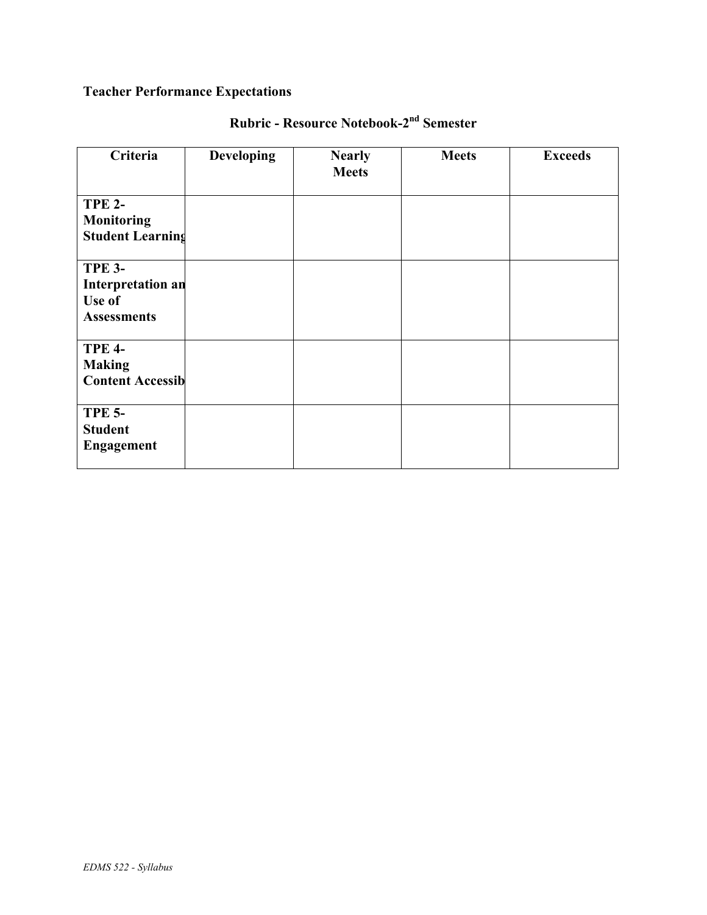# **Teacher Performance Expectations**

| Criteria                                                                  | <b>Developing</b> | <b>Nearly</b><br><b>Meets</b> | <b>Meets</b> | <b>Exceeds</b> |
|---------------------------------------------------------------------------|-------------------|-------------------------------|--------------|----------------|
| <b>TPE 2-</b><br><b>Monitoring</b><br><b>Student Learning</b>             |                   |                               |              |                |
| <b>TPE 3-</b><br><b>Interpretation an</b><br>Use of<br><b>Assessments</b> |                   |                               |              |                |
| <b>TPE 4-</b><br><b>Making</b><br><b>Content Accessib</b>                 |                   |                               |              |                |
| <b>TPE 5-</b><br><b>Student</b><br><b>Engagement</b>                      |                   |                               |              |                |

# **Rubric - Resource Notebook-2nd Semester**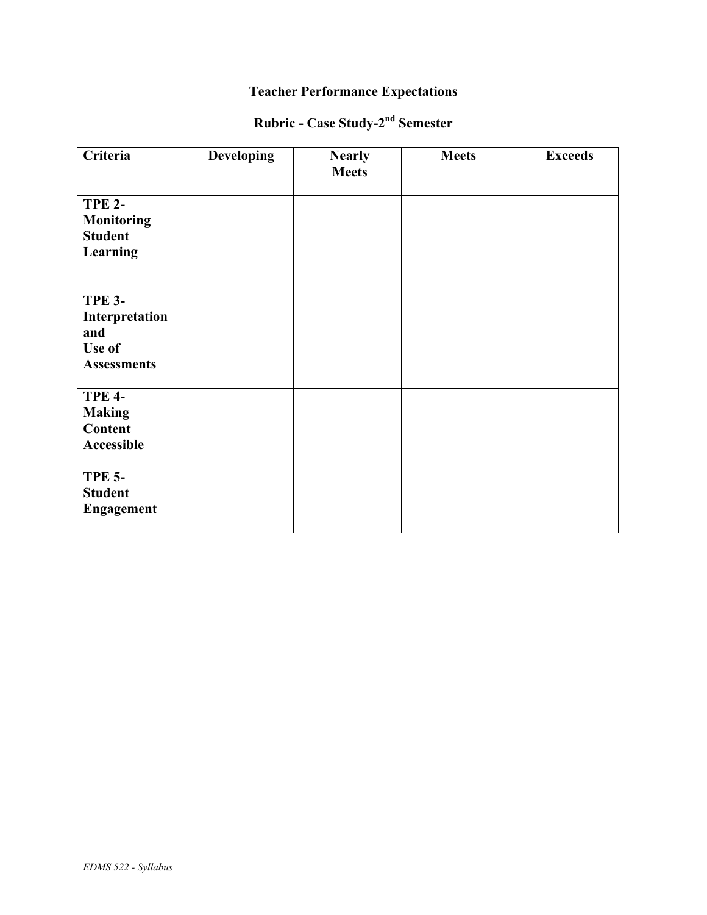### **Teacher Performance Expectations**

# **Rubric - Case Study-2nd Semester**

| <b>Criteria</b>                                                        | <b>Developing</b> | <b>Nearly</b><br><b>Meets</b> | <b>Meets</b> | <b>Exceeds</b> |
|------------------------------------------------------------------------|-------------------|-------------------------------|--------------|----------------|
| <b>TPE 2-</b><br><b>Monitoring</b><br><b>Student</b><br>Learning       |                   |                               |              |                |
| <b>TPE 3-</b><br>Interpretation<br>and<br>Use of<br><b>Assessments</b> |                   |                               |              |                |
| <b>TPE 4-</b><br><b>Making</b><br><b>Content</b><br>Accessible         |                   |                               |              |                |
| <b>TPE 5-</b><br><b>Student</b><br><b>Engagement</b>                   |                   |                               |              |                |